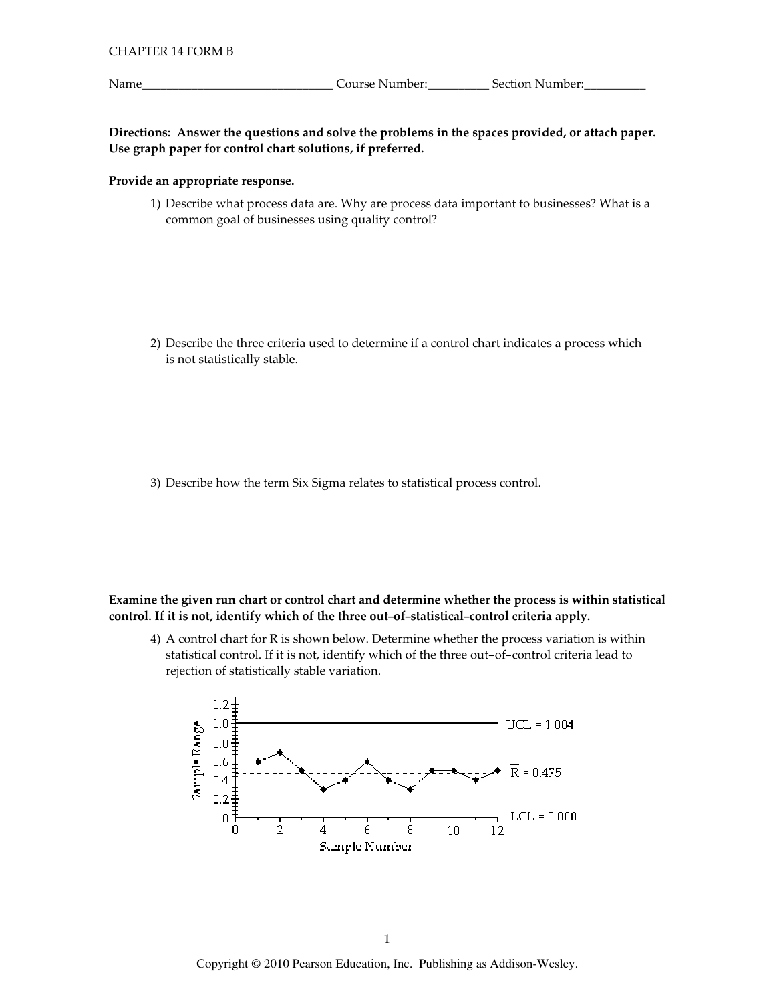Name

Directions: Answer the questions and solve the problems in the spaces provided, or attach paper. Use graph paper for control chart solutions, if preferred.

#### Provide an appropriate response.

1) Describe what process data are. Why are process data important to businesses? What is a common goal of businesses using quality control?

2) Describe the three criteria used to determine if a control chart indicates a process which is not statistically stable.

3) Describe how the term Six Sigma relates to statistical process control.

### Examine the given run chart or control chart and determine whether the process is within statistical control. If it is not, identify which of the three out-of-statistical-control criteria apply.

4) A control chart for R is shown below. Determine whether the process variation is within statistical control. If it is not, identify which of the three out-of-control criteria lead to rejection of statistically stable variation.

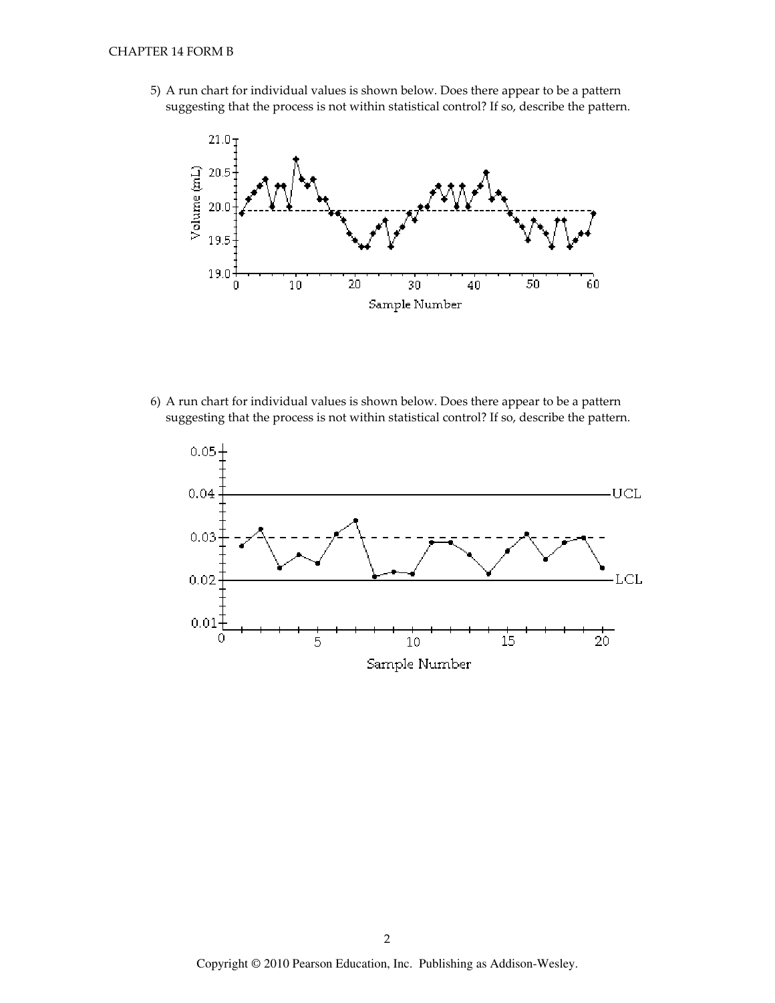5) A run chart for individual values is shown below. Does there appear to be a pattern suggesting that the process is not within statistical control? If so, describe the pattern.



6) A run chart for individual values is shown below. Does there appear to be a pattern suggesting that the process is not within statistical control? If so, describe the pattern.

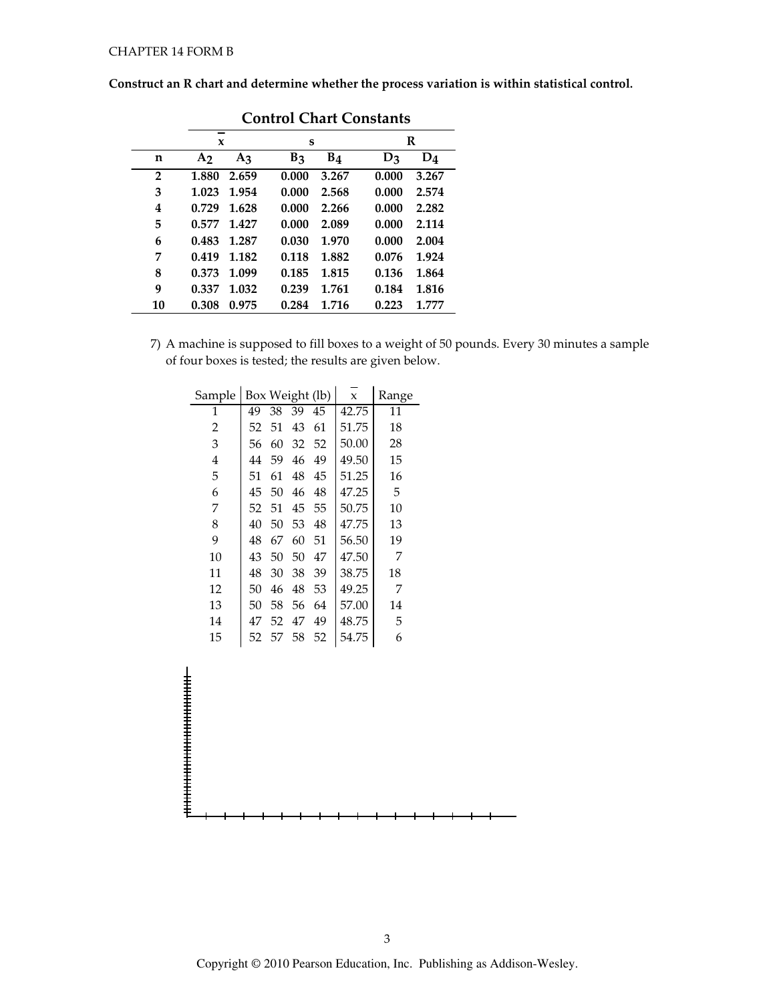Construct an R chart and determine whether the process variation is within statistical control.

|    | Como Chan Constants |                |       |                |       |       |  |  |  |  |
|----|---------------------|----------------|-------|----------------|-------|-------|--|--|--|--|
|    | -<br>X              |                | S     |                |       | R     |  |  |  |  |
| n  | A <sub>2</sub>      | A <sub>3</sub> | $B_3$ | B <sub>4</sub> | $D_3$ | $D_4$ |  |  |  |  |
| 2  | 1.880               | 2.659          | 0.000 | 3.267          | 0.000 | 3.267 |  |  |  |  |
| 3  | 1.023               | 1.954          | 0.000 | 2.568          | 0.000 | 2.574 |  |  |  |  |
| 4  | 0.729               | 1.628          | 0.000 | 2.266          | 0.000 | 2.282 |  |  |  |  |
| 5  | 0.577               | 1.427          | 0.000 | 2.089          | 0.000 | 2.114 |  |  |  |  |
| 6  | 0.483               | 1.287          | 0.030 | 1.970          | 0.000 | 2.004 |  |  |  |  |
| 7  | 0.419               | 1.182          | 0.118 | 1.882          | 0.076 | 1.924 |  |  |  |  |
| 8  | 0.373               | 1.099          | 0.185 | 1.815          | 0.136 | 1.864 |  |  |  |  |
| 9  | 0.337               | 1.032          | 0.239 | 1.761          | 0.184 | 1.816 |  |  |  |  |
| 10 | 0.308               | 0.975          | 0.284 | 1.716          | 0.223 | 1.777 |  |  |  |  |

**Control Chart Constants** 

7) A machine is supposed to fill boxes to a weight of 50 pounds. Every 30 minutes a sample of four boxes is tested; the results are given below.

| Sample |    |    |    | Box Weight (lb) | $\mathbf x$ | Range |
|--------|----|----|----|-----------------|-------------|-------|
| 1      | 49 | 38 | 39 | 45              | 42.75       | 11    |
| 2      | 52 | 51 | 43 | 61              | 51.75       | 18    |
| 3      | 56 | 60 | 32 | 52              | 50.00       | 28    |
| 4      | 44 | 59 | 46 | 49              | 49.50       | 15    |
| 5      | 51 | 61 | 48 | 45              | 51.25       | 16    |
| 6      | 45 | 50 | 46 | 48              | 47.25       | 5     |
| 7      | 52 | 51 | 45 | 55              | 50.75       | 10    |
| 8      | 40 | 50 | 53 | 48              | 47.75       | 13    |
| 9      | 48 | 67 | 60 | 51              | 56.50       | 19    |
| 10     | 43 | 50 | 50 | 47              | 47.50       | 7     |
| 11     | 48 | 30 | 38 | 39              | 38.75       | 18    |
| 12     | 50 | 46 | 48 | 53              | 49.25       | 7     |
| 13     | 50 | 58 | 56 | 64              | 57.00       | 14    |
| 14     | 47 | 52 | 47 | 49              | 48.75       | 5     |
| 15     | 52 | 57 | 58 | 52              | 54.75       | 6     |
|        |    |    |    |                 |             |       |

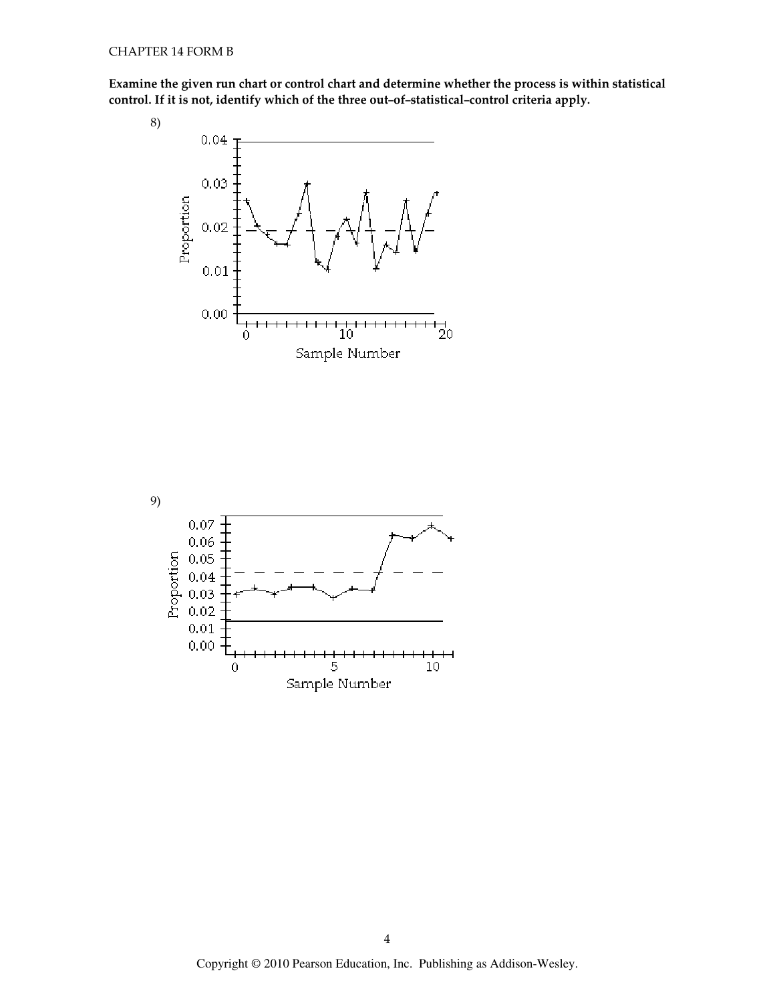Examine the given run chart or control chart and determine whether the process is within statistical control. If it is not, identify which of the th rt and determine whether the process is wi<mark>t</mark><br>ree out–of–statistical–control criteria apply.



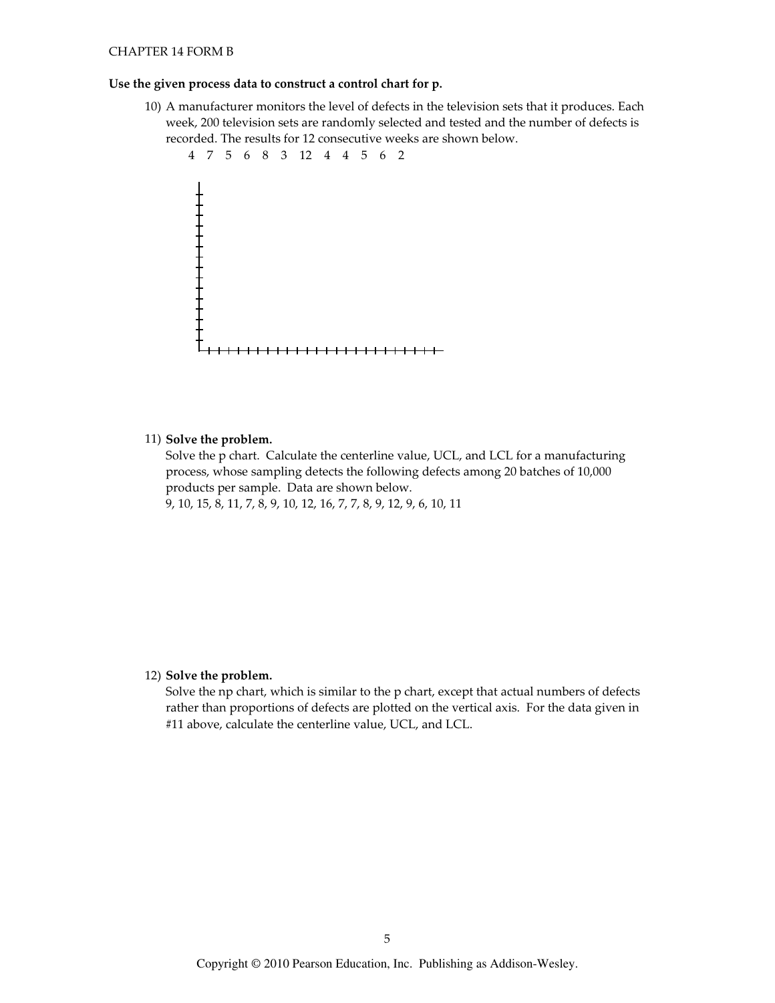#### **CHAPTER 14 FORM B**

#### Use the given process data to construct a control chart for p.

10) A manufacturer monitors the level of defects in the television sets that it produces. Each week, 200 television sets are randomly selected and tested and the number of defects is recorded. The results for 12 consecutive weeks are shown below.



#### 11) Solve the problem.

Solve the p chart. Calculate the centerline value, UCL, and LCL for a manufacturing process, whose sampling detects the following defects among 20 batches of 10,000 products per sample. Data are shown below. 9, 10, 15, 8, 11, 7, 8, 9, 10, 12, 16, 7, 7, 8, 9, 12, 9, 6, 10, 11

#### 12) Solve the problem.

Solve the np chart, which is similar to the p chart, except that actual numbers of defects rather than proportions of defects are plotted on the vertical axis. For the data given in #11 above, calculate the centerline value, UCL, and LCL.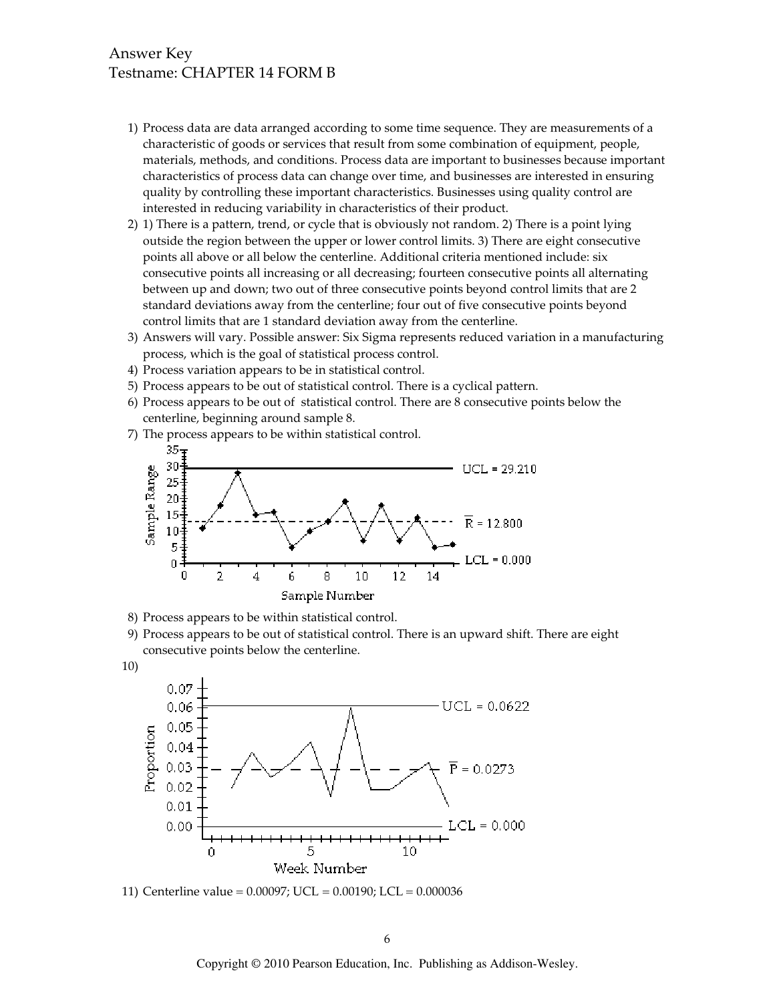## **Answer Key** Testname: CHAPTER 14 FORM B

- 1) Process data are data arranged according to some time sequence. They are measurements of a characteristic of goods or services that result from some combination of equipment, people, materials, methods, and conditions. Process data are important to businesses because important characteristics of process data can change over time, and businesses are interested in ensuring quality by controlling these important characteristics. Businesses using quality control are interested in reducing variability in characteristics of their product.
- 2) 1) There is a pattern, trend, or cycle that is obviously not random. 2) There is a point lying outside the region between the upper or lower control limits. 3) There are eight consecutive points all above or all below the centerline. Additional criteria mentioned include: six consecutive points all increasing or all decreasing; fourteen consecutive points all alternating between up and down; two out of three consecutive points beyond control limits that are 2 standard deviations away from the centerline; four out of five consecutive points beyond control limits that are 1 standard deviation away from the centerline.
- 3) Answers will vary. Possible answer: Six Sigma represents reduced variation in a manufacturing process, which is the goal of statistical process control.
- 4) Process variation appears to be in statistical control.
- 5) Process appears to be out of statistical control. There is a cyclical pattern.
- 6) Process appears to be out of statistical control. There are 8 consecutive points below the centerline, beginning around sample 8.
- 7) The process appears to be within statistical control.



- 8) Process appears to be within statistical control.
- 9) Process appears to be out of statistical control. There is an upward shift. There are eight consecutive points below the centerline.
- $10)$



11) Centerline value =  $0.00097$ ; UCL =  $0.00190$ ; LCL =  $0.000036$